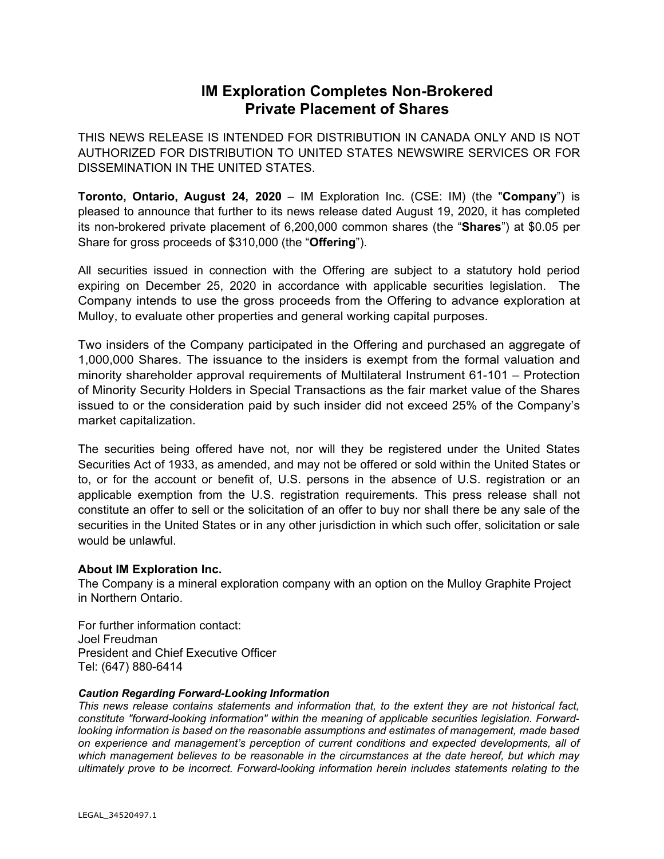## **IM Exploration Completes Non-Brokered Private Placement of Shares**

THIS NEWS RELEASE IS INTENDED FOR DISTRIBUTION IN CANADA ONLY AND IS NOT AUTHORIZED FOR DISTRIBUTION TO UNITED STATES NEWSWIRE SERVICES OR FOR DISSEMINATION IN THE UNITED STATES.

**Toronto, Ontario, August 24, 2020** – IM Exploration Inc. (CSE: IM) (the "**Company**") is pleased to announce that further to its news release dated August 19, 2020, it has completed its non-brokered private placement of 6,200,000 common shares (the "**Shares**") at \$0.05 per Share for gross proceeds of \$310,000 (the "**Offering**").

All securities issued in connection with the Offering are subject to a statutory hold period expiring on December 25, 2020 in accordance with applicable securities legislation. The Company intends to use the gross proceeds from the Offering to advance exploration at Mulloy, to evaluate other properties and general working capital purposes.

Two insiders of the Company participated in the Offering and purchased an aggregate of 1,000,000 Shares. The issuance to the insiders is exempt from the formal valuation and minority shareholder approval requirements of Multilateral Instrument 61-101 – Protection of Minority Security Holders in Special Transactions as the fair market value of the Shares issued to or the consideration paid by such insider did not exceed 25% of the Company's market capitalization.

The securities being offered have not, nor will they be registered under the United States Securities Act of 1933, as amended, and may not be offered or sold within the United States or to, or for the account or benefit of, U.S. persons in the absence of U.S. registration or an applicable exemption from the U.S. registration requirements. This press release shall not constitute an offer to sell or the solicitation of an offer to buy nor shall there be any sale of the securities in the United States or in any other jurisdiction in which such offer, solicitation or sale would be unlawful.

## **About IM Exploration Inc.**

The Company is a mineral exploration company with an option on the Mulloy Graphite Project in Northern Ontario.

For further information contact: Joel Freudman President and Chief Executive Officer Tel: (647) 880-6414

## *Caution Regarding Forward-Looking Information*

*This news release contains statements and information that, to the extent they are not historical fact, constitute "forward-looking information" within the meaning of applicable securities legislation. Forwardlooking information is based on the reasonable assumptions and estimates of management, made based on experience and management's perception of current conditions and expected developments, all of which management believes to be reasonable in the circumstances at the date hereof, but which may ultimately prove to be incorrect. Forward-looking information herein includes statements relating to the*